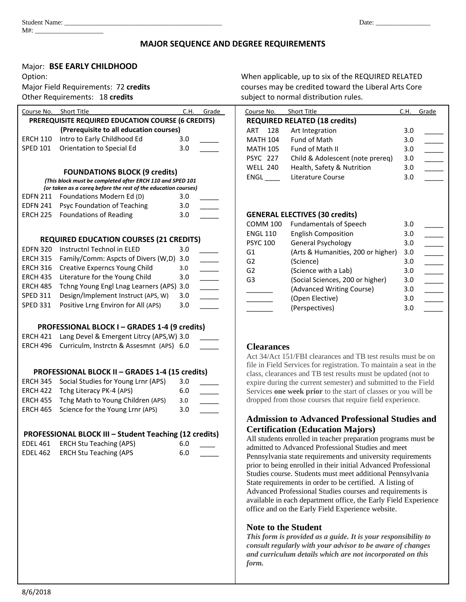#### **MAJOR SEQUENCE AND DEGREE REQUIREMENTS**

#### Major: **BSE EARLY CHILDHOOD**

| Course No.                                         | Short Title                             | C.H. | Grade | Course No.      | Short Title                          | C.H. | Grade |
|----------------------------------------------------|-----------------------------------------|------|-------|-----------------|--------------------------------------|------|-------|
| PREREQUISITE REQUIRED EDUCATION COURSE (6 CREDITS) |                                         |      |       |                 | <b>REQUIRED RELATED (18 credits)</b> |      |       |
|                                                    | (Prerequisite to all education courses) |      |       | 128<br>ART      | Art Integration                      | 3.0  |       |
| <b>ERCH 110</b>                                    | Intro to Early Childhood Ed             | 3.0  |       | <b>MATH 104</b> | Fund of Math                         | 3.0  |       |
| <b>SPED 101</b>                                    | Orientation to Special Ed               | 3.0  |       | <b>MATH 105</b> | Fund of Math II                      | 3.0  |       |
|                                                    |                                         |      |       | <b>PSYC 227</b> | Child & Adolescent (note prereq)     | 3.0  |       |
| <b>FOUNDATIONS RLOCK (9 credits)</b>               |                                         |      |       | <b>WELL 240</b> | Health, Safety & Nutrition           | 3.0  |       |
|                                                    |                                         |      |       |                 |                                      |      |       |

#### **FOUNDATIONS BLOCK (9 credits)** *(This block must be completed after ERCH 110 and SPED 101*

| (This block must be completed after ERCH 110 and SPED 101)     |
|----------------------------------------------------------------|
| for taken as a corea before the rest of the education courses) |

| EDFN 211 Foundations Modern Ed (D)          | 3.0 |  |
|---------------------------------------------|-----|--|
| <b>EDFN 241 Psyc Foundation of Teaching</b> | 3.0 |  |
| <b>ERCH 225</b> Foundations of Reading      | 3.0 |  |

#### **REQUIRED EDUCATION COURSES (21 CREDITS)**

|          | EDFN 320 Instructnl Technol in ELED               | 3.0 |  |
|----------|---------------------------------------------------|-----|--|
|          | ERCH 315 Family/Comm: Aspcts of Divers (W,D) 3.0  |     |  |
|          | <b>ERCH 316</b> Creative Experncs Young Child     | 3.0 |  |
|          | ERCH 435 Literature for the Young Child           | 3.0 |  |
|          | ERCH 485 Tchng Young Engl Lnag Learners (APS) 3.0 |     |  |
| SPED 311 | Design/Implement Instruct (APS, W)                | 3.0 |  |
| SPED 331 | Positive Lrng Environ for All (APS)               | 3.0 |  |
|          |                                                   |     |  |

### **PROFESSIONAL BLOCK I – GRADES 1-4 (9 credits)**

| $\frac{1}{2}$ . The contract of the contract of the contract of the contract of the contract of the contract of the contract of the contract of the contract of the contract of the contract of the contract of the contract of t |  |
|-----------------------------------------------------------------------------------------------------------------------------------------------------------------------------------------------------------------------------------|--|
| ERCH 421 Lang Devel & Emergent Litrcy (APS, W) 3.0                                                                                                                                                                                |  |
| ERCH 496 Curriculm, Instrctn & Assesmnt (APS) 6.0                                                                                                                                                                                 |  |
|                                                                                                                                                                                                                                   |  |

#### **PROFESSIONAL BLOCK II – GRADES 1-4 (15 credits)**

| ERCH 345 Social Studies for Young Lrnr (APS) | 3.0 |  |
|----------------------------------------------|-----|--|
| ERCH 422 Tchg Literacy PK-4 (APS)            | 6.0 |  |
| ERCH 455 Tchg Math to Young Children (APS)   | 3.0 |  |
| ERCH 465 Science for the Young Lrnr (APS)    | 3.0 |  |
|                                              |     |  |

## **PROFESSIONAL BLOCK III – Student Teaching (12 credits)**

|          | EDEL 461 ERCH Stu Teaching (APS) | 6.0 |  |
|----------|----------------------------------|-----|--|
| EDEL 462 | ERCH Stu Teaching (APS           | 6.0 |  |

Option: When applicable, up to six of the REQUIRED RELATED Major Field Requirements: 72 **credits** courses may be credited toward the Liberal Arts Core Other Requirements: 18 **credits** subject to normal distribution rules.

| Course No.              | <b>Short Title</b>                    | C.H. | Grade |
|-------------------------|---------------------------------------|------|-------|
|                         | <b>REQUIRED RELATED (18 credits)</b>  |      |       |
| ART<br>128              | Art Integration                       | 3.0  |       |
| MATH 104                | <b>Fund of Math</b>                   | 3.0  |       |
| MATH 105                | <b>Fund of Math II</b>                | 3.0  |       |
| PSYC 227                | Child & Adolescent (note prereg)      | 3.0  |       |
| <b>WELL 240</b>         | Health, Safety & Nutrition            | 3.0  |       |
| $ENGL$ <sub>_____</sub> | Literature Course                     | 3.0  |       |
|                         |                                       |      |       |
|                         |                                       |      |       |
|                         |                                       |      |       |
|                         | <b>GENERAL ELECTIVES (30 credits)</b> |      |       |
| <b>COMM 100</b>         | <b>Fundamentals of Speech</b>         | 3.0  |       |
| <b>ENGL 110</b>         | <b>English Composition</b>            | 3.0  |       |
| <b>PSYC 100</b>         | General Psychology                    | 3.0  |       |
| G1                      | (Arts & Humanities, 200 or higher)    | 3.0  |       |
| G <sub>2</sub>          | (Science)                             | 3.0  |       |
| G <sub>2</sub>          | (Science with a Lab)                  | 3.0  |       |
| G3                      | (Social Sciences, 200 or higher)      | 3.0  |       |
|                         | (Advanced Writing Course)             | 3.0  |       |
|                         | (Open Elective)                       | 3.0  |       |
|                         | (Perspectives)                        | 3.0  |       |
|                         |                                       |      |       |

### **Clearances**

Act 34/Act 151/FBI clearances and TB test results must be on file in Field Services for registration. To maintain a seat in the class, clearances and TB test results must be updated (not to expire during the current semester) and submitted to the Field Services **one week prior** to the start of classes or you will be dropped from those courses that require field experience.

#### **Admission to Advanced Professional Studies and Certification (Education Majors)**

All students enrolled in teacher preparation programs must be admitted to Advanced Professional Studies and meet Pennsylvania state requirements and university requirements prior to being enrolled in their initial Advanced Professional Studies course. Students must meet additional Pennsylvania State requirements in order to be certified. A listing of Advanced Professional Studies courses and requirements is available in each department office, the Early Field Experience office and on the Early Field Experience website.

#### **Note to the Student**

*This form is provided as a guide. It is your responsibility to consult regularly with your advisor to be aware of changes and curriculum details which are not incorporated on this form.*